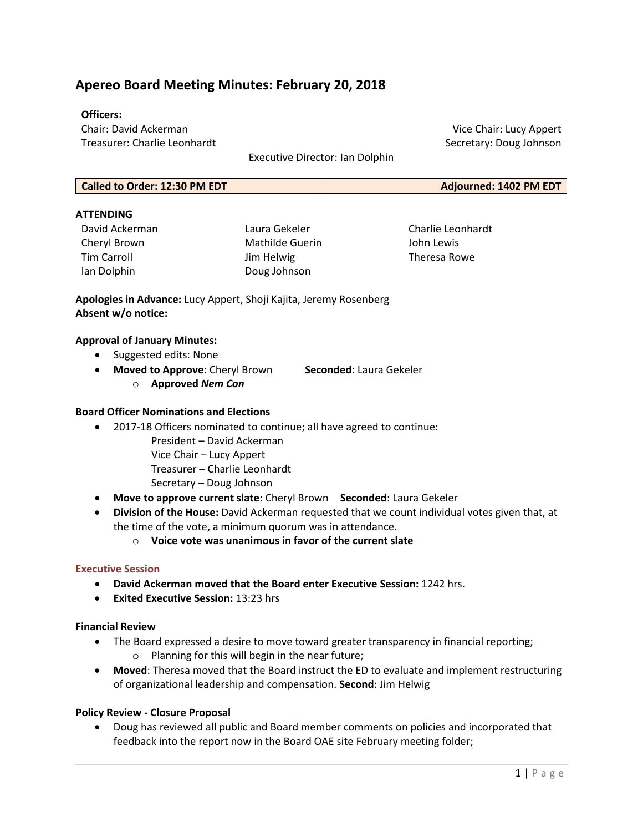# **Apereo Board Meeting Minutes: February 20, 2018**

#### **Officers:**

Chair: David Ackerman Treasurer: Charlie Leonhardt

Executive Director: Ian Dolphin

| Called to Order: 12:30 PM EDT | Adjourned: 1402 PM EDT |
|-------------------------------|------------------------|
|-------------------------------|------------------------|

### **ATTENDING**

David Ackerman Cheryl Brown Tim Carroll Ian Dolphin

Laura Gekeler Mathilde Guerin Jim Helwig Doug Johnson

Charlie Leonhardt John Lewis Theresa Rowe

Vice Chair: Lucy Appert Secretary: Doug Johnson

**Apologies in Advance:** Lucy Appert, Shoji Kajita, Jeremy Rosenberg **Absent w/o notice:**

#### **Approval of January Minutes:**

• Suggested edits: None

**Moved to Approve: Cheryl Brown Seconded: Laura Gekeler** 

o **Approved** *Nem Con*

#### **Board Officer Nominations and Elections**

- 2017-18 Officers nominated to continue; all have agreed to continue:
	- President David Ackerman Vice Chair – Lucy Appert
	- Treasurer Charlie Leonhardt
	- Secretary Doug Johnson
- **Move to approve current slate:** Cheryl Brown **Seconded**: Laura Gekeler
- **Division of the House:** David Ackerman requested that we count individual votes given that, at the time of the vote, a minimum quorum was in attendance.
	- o **Voice vote was unanimous in favor of the current slate**

#### **Executive Session**

- **David Ackerman moved that the Board enter Executive Session:** 1242 hrs.
- **Exited Executive Session:** 13:23 hrs

#### **Financial Review**

- The Board expressed a desire to move toward greater transparency in financial reporting; o Planning for this will begin in the near future;
- **Moved**: Theresa moved that the Board instruct the ED to evaluate and implement restructuring of organizational leadership and compensation. **Second**: Jim Helwig

#### **Policy Review - Closure Proposal**

 Doug has reviewed all public and Board member comments on policies and incorporated that feedback into the report now in the Board OAE site February meeting folder;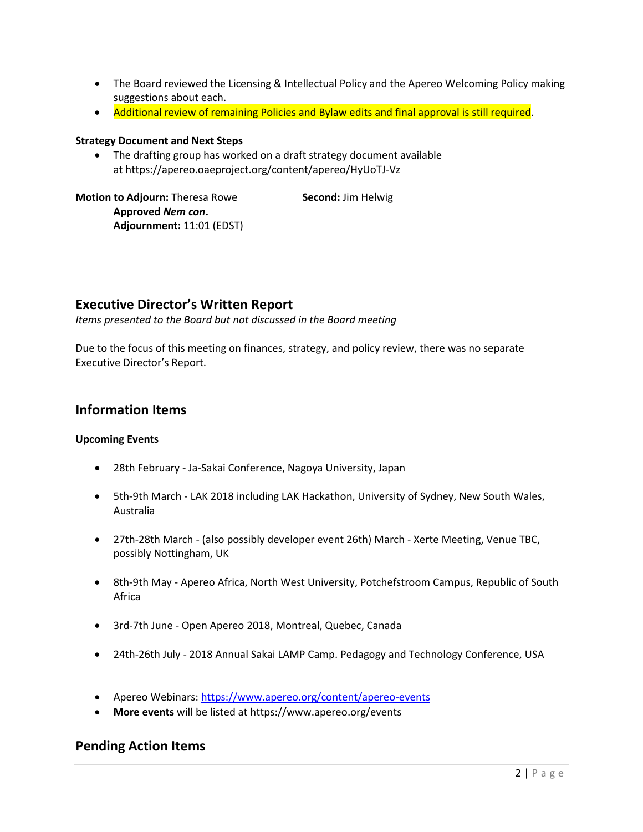- The Board reviewed the Licensing & Intellectual Policy and the Apereo Welcoming Policy making suggestions about each.
- Additional review of remaining Policies and Bylaw edits and final approval is still required.

#### **Strategy Document and Next Steps**

• The drafting group has worked on a draft strategy document available at <https://apereo.oaeproject.org/content/apereo/HyUoTJ-Vz>

**Motion to Adjourn:** Theresa Rowe **Second:** Jim Helwig **Approved** *Nem con***. Adjournment:** 11:01 (EDST)

## **Executive Director's Written Report**

*Items presented to the Board but not discussed in the Board meeting*

Due to the focus of this meeting on finances, strategy, and policy review, there was no separate Executive Director's Report.

## **Information Items**

#### **Upcoming Events**

- 28th February Ja-Sakai Conference, Nagoya University, Japan
- 5th-9th March LAK 2018 including LAK Hackathon, University of Sydney, New South Wales, Australia
- 27th-28th March (also possibly developer event 26th) March Xerte Meeting, Venue TBC, possibly Nottingham, UK
- 8th-9th May Apereo Africa, North West University, Potchefstroom Campus, Republic of South Africa
- 3rd-7th June Open Apereo 2018, Montreal, Quebec, Canada
- 24th-26th July 2018 Annual Sakai LAMP Camp. Pedagogy and Technology Conference, USA
- Apereo Webinars:<https://www.apereo.org/content/apereo-events>
- **More events** will be listed at <https://www.apereo.org/events>

## **Pending Action Items**